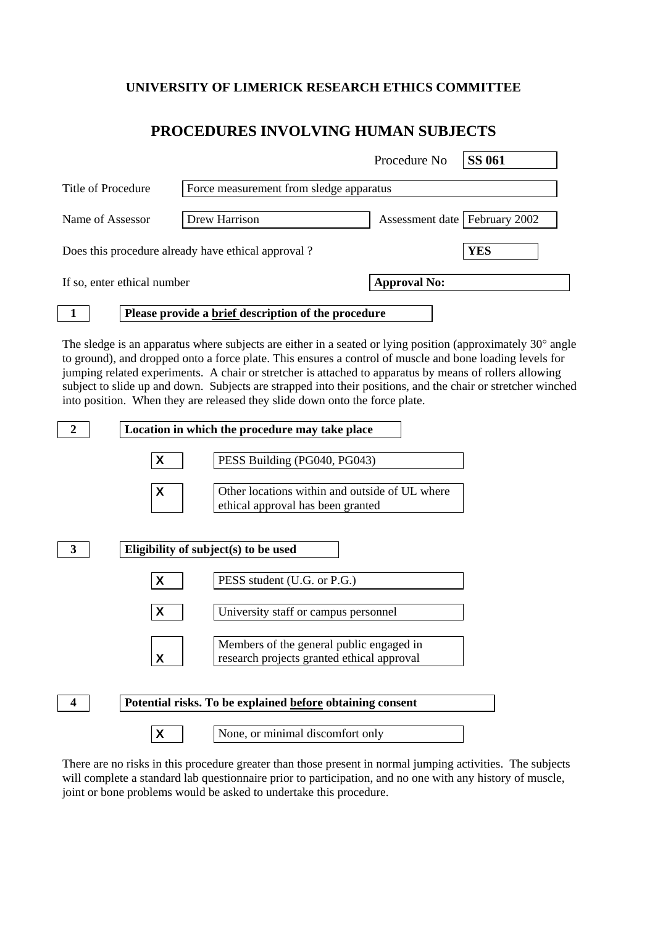## **UNIVERSITY OF LIMERICK RESEARCH ETHICS COMMITTEE**

## **PROCEDURES INVOLVING HUMAN SUBJECTS**

|                                                    |                             |                                                     | Procedure No                    | <b>SS 061</b> |
|----------------------------------------------------|-----------------------------|-----------------------------------------------------|---------------------------------|---------------|
| Title of Procedure                                 |                             | Force measurement from sledge apparatus             |                                 |               |
| Name of Assessor                                   |                             | Drew Harrison                                       | Assessment date   February 2002 |               |
| Does this procedure already have ethical approval? |                             |                                                     |                                 | <b>YES</b>    |
|                                                    | If so, enter ethical number |                                                     | <b>Approval No:</b>             |               |
|                                                    |                             | Please provide a brief description of the procedure |                                 |               |

The sledge is an apparatus where subjects are either in a seated or lying position (approximately  $30^{\circ}$  angle to ground), and dropped onto a force plate. This ensures a control of muscle and bone loading levels for jumping related experiments. A chair or stretcher is attached to apparatus by means of rollers allowing subject to slide up and down. Subjects are strapped into their positions, and the chair or stretcher winched into position. When they are released they slide down onto the force plate.



There are no risks in this procedure greater than those present in normal jumping activities. The subjects will complete a standard lab questionnaire prior to participation, and no one with any history of muscle, joint or bone problems would be asked to undertake this procedure.